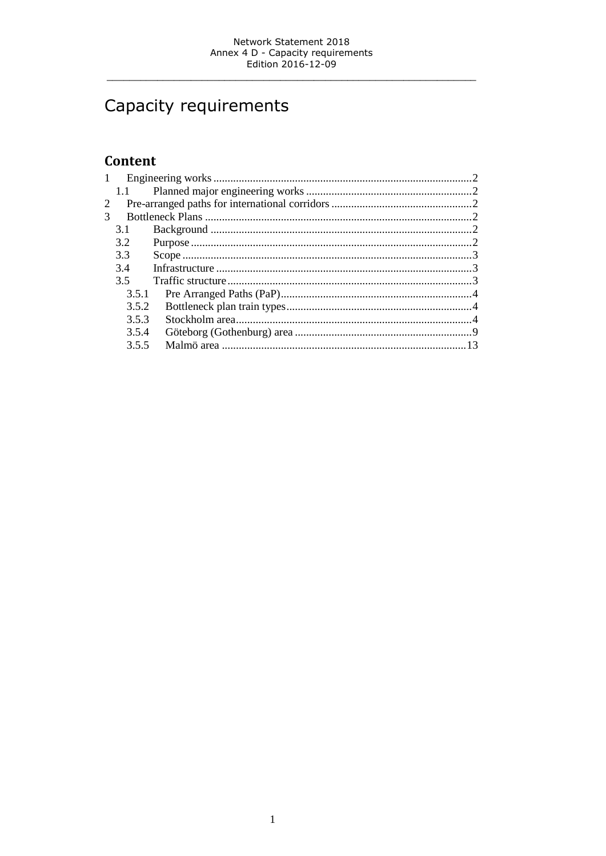# Capacity requirements

# Content

| 1 |       |  |  |  |  |  |
|---|-------|--|--|--|--|--|
|   | 1.1   |  |  |  |  |  |
| 2 |       |  |  |  |  |  |
| 3 |       |  |  |  |  |  |
|   | 3.1   |  |  |  |  |  |
|   | 3.2   |  |  |  |  |  |
|   | 3.3   |  |  |  |  |  |
|   | 3.4   |  |  |  |  |  |
|   | 3.5   |  |  |  |  |  |
|   | 3.5.1 |  |  |  |  |  |
|   | 3.5.2 |  |  |  |  |  |
|   | 3.5.3 |  |  |  |  |  |
|   | 3.5.4 |  |  |  |  |  |
|   | 3.5.5 |  |  |  |  |  |
|   |       |  |  |  |  |  |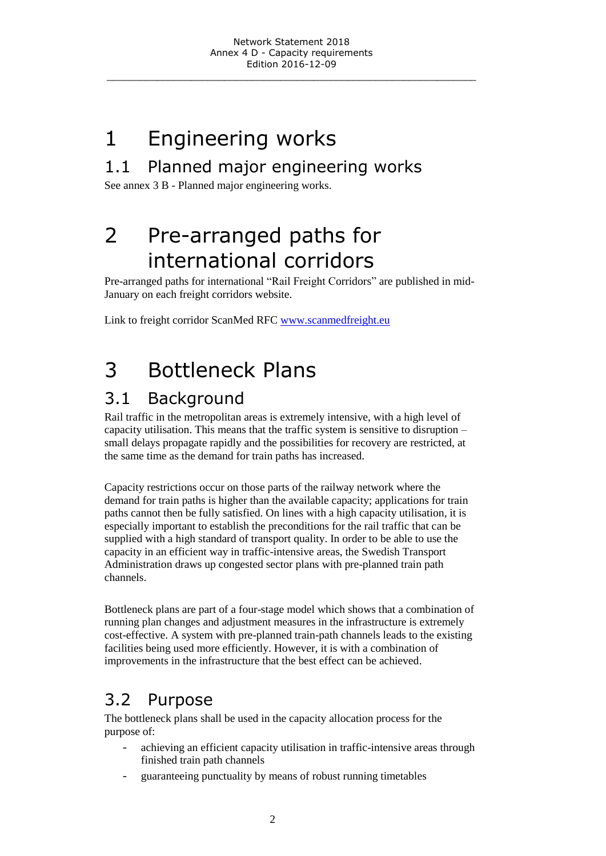# <span id="page-1-0"></span>1 Engineering works

# <span id="page-1-1"></span>1.1 Planned major engineering works

<span id="page-1-2"></span>See annex 3 B - Planned major engineering works.

# 2 Pre-arranged paths for international corridors

Pre-arranged paths for international "Rail Freight Corridors" are published in mid-January on each freight corridors website.

<span id="page-1-3"></span>Link to freight corridor ScanMed RFC [www.scanmedfreight.eu](http://uk.bane.dk/visArtikel_eng.asp?artikelID=19731)

# 3 Bottleneck Plans

# <span id="page-1-4"></span>3.1 Background

Rail traffic in the metropolitan areas is extremely intensive, with a high level of capacity utilisation. This means that the traffic system is sensitive to disruption – small delays propagate rapidly and the possibilities for recovery are restricted, at the same time as the demand for train paths has increased.

Capacity restrictions occur on those parts of the railway network where the demand for train paths is higher than the available capacity; applications for train paths cannot then be fully satisfied. On lines with a high capacity utilisation, it is especially important to establish the preconditions for the rail traffic that can be supplied with a high standard of transport quality. In order to be able to use the capacity in an efficient way in traffic-intensive areas, the Swedish Transport Administration draws up congested sector plans with pre-planned train path channels.

Bottleneck plans are part of a four-stage model which shows that a combination of running plan changes and adjustment measures in the infrastructure is extremely cost-effective. A system with pre-planned train-path channels leads to the existing facilities being used more efficiently. However, it is with a combination of improvements in the infrastructure that the best effect can be achieved.

# <span id="page-1-5"></span>3.2 Purpose

The bottleneck plans shall be used in the capacity allocation process for the purpose of:

- achieving an efficient capacity utilisation in traffic-intensive areas through finished train path channels
- guaranteeing punctuality by means of robust running timetables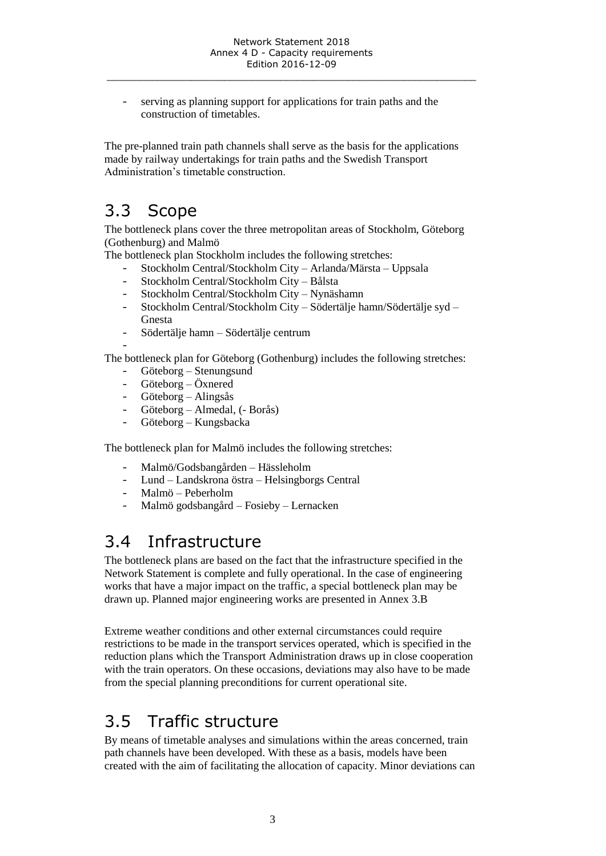serving as planning support for applications for train paths and the construction of timetables.

The pre-planned train path channels shall serve as the basis for the applications made by railway undertakings for train paths and the Swedish Transport Administration's timetable construction.

# <span id="page-2-0"></span>3.3 Scope

The bottleneck plans cover the three metropolitan areas of Stockholm, Göteborg (Gothenburg) and Malmö

The bottleneck plan Stockholm includes the following stretches:

- Stockholm Central/Stockholm City Arlanda/Märsta Uppsala
- Stockholm Central/Stockholm City Bålsta
- Stockholm Central/Stockholm City Nynäshamn
- Stockholm Central/Stockholm City Södertälje hamn/Södertälje syd Gnesta
- Södertälje hamn Södertälje centrum

-

The bottleneck plan for Göteborg (Gothenburg) includes the following stretches:

- Göteborg Stenungsund
- Göteborg Öxnered
- Göteborg Alingsås
- Göteborg Almedal, (- Borås)
- Göteborg Kungsbacka

The bottleneck plan for Malmö includes the following stretches:

- Malmö/Godsbangården Hässleholm
- Lund Landskrona östra Helsingborgs Central
- Malmö Peberholm
- Malmö godsbangård Fosieby Lernacken

# <span id="page-2-1"></span>3.4 Infrastructure

The bottleneck plans are based on the fact that the infrastructure specified in the Network Statement is complete and fully operational. In the case of engineering works that have a major impact on the traffic, a special bottleneck plan may be drawn up. Planned major engineering works are presented in Annex 3.B

Extreme weather conditions and other external circumstances could require restrictions to be made in the transport services operated, which is specified in the reduction plans which the Transport Administration draws up in close cooperation with the train operators. On these occasions, deviations may also have to be made from the special planning preconditions for current operational site.

# <span id="page-2-2"></span>3.5 Traffic structure

By means of timetable analyses and simulations within the areas concerned, train path channels have been developed. With these as a basis, models have been created with the aim of facilitating the allocation of capacity. Minor deviations can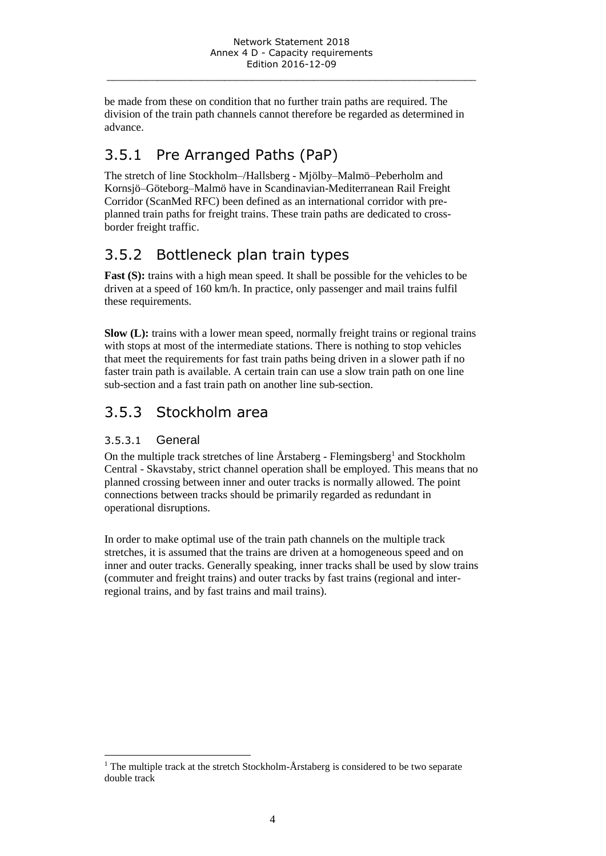be made from these on condition that no further train paths are required. The division of the train path channels cannot therefore be regarded as determined in advance.

# <span id="page-3-0"></span>3.5.1 Pre Arranged Paths (PaP)

The stretch of line Stockholm–/Hallsberg - Mjölby–Malmö–Peberholm and Kornsjö–Göteborg–Malmö have in Scandinavian-Mediterranean Rail Freight Corridor (ScanMed RFC) been defined as an international corridor with preplanned train paths for freight trains. These train paths are dedicated to crossborder freight traffic.

# <span id="page-3-1"></span>3.5.2 Bottleneck plan train types

**Fast (S):** trains with a high mean speed. It shall be possible for the vehicles to be driven at a speed of 160 km/h. In practice, only passenger and mail trains fulfil these requirements.

**Slow (L):** trains with a lower mean speed, normally freight trains or regional trains with stops at most of the intermediate stations. There is nothing to stop vehicles that meet the requirements for fast train paths being driven in a slower path if no faster train path is available. A certain train can use a slow train path on one line sub-section and a fast train path on another line sub-section.

# <span id="page-3-2"></span>3.5.3 Stockholm area

## 3.5.3.1 General

On the multiple track stretches of line  $\AA$ rstaberg - Flemingsberg<sup>1</sup> and Stockholm Central - Skavstaby, strict channel operation shall be employed. This means that no planned crossing between inner and outer tracks is normally allowed. The point connections between tracks should be primarily regarded as redundant in operational disruptions.

In order to make optimal use of the train path channels on the multiple track stretches, it is assumed that the trains are driven at a homogeneous speed and on inner and outer tracks. Generally speaking, inner tracks shall be used by slow trains (commuter and freight trains) and outer tracks by fast trains (regional and interregional trains, and by fast trains and mail trains).

 $\overline{a}$ <sup>1</sup> The multiple track at the stretch Stockholm- $\AA$ rstaberg is considered to be two separate double track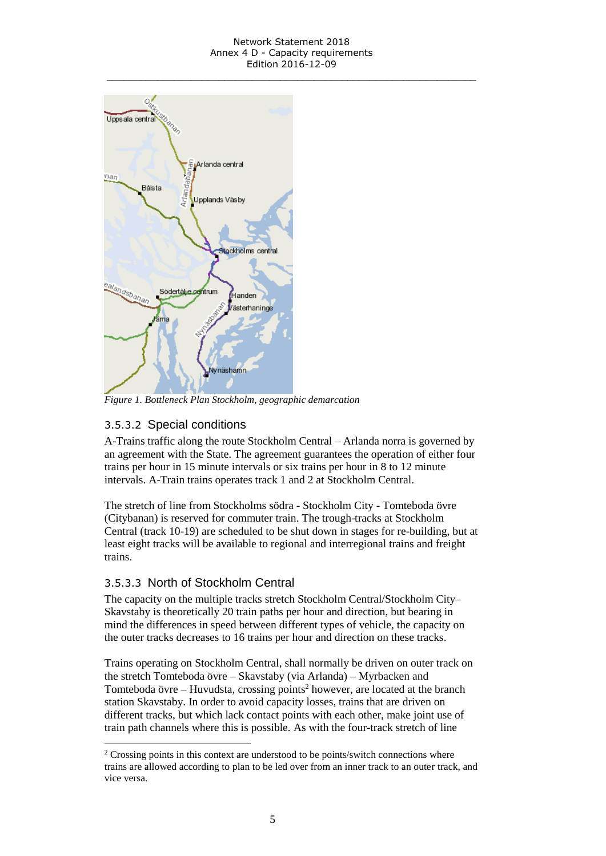#### Network Statement 2018 Annex 4 D - Capacity requirements Edition 2016-12-09 \_\_\_\_\_\_\_\_\_\_\_\_\_\_\_\_\_\_\_\_\_\_\_\_\_\_\_\_\_\_\_\_\_\_\_\_\_\_\_\_\_\_\_\_\_\_\_\_\_\_\_\_\_\_\_\_\_\_\_\_\_\_\_\_\_\_



*Figure 1. Bottleneck Plan Stockholm, geographic demarcation*

## 3.5.3.2 Special conditions

A-Trains traffic along the route Stockholm Central – Arlanda norra is governed by an agreement with the State. The agreement guarantees the operation of either four trains per hour in 15 minute intervals or six trains per hour in 8 to 12 minute intervals. A-Train trains operates track 1 and 2 at Stockholm Central.

The stretch of line from Stockholms södra - Stockholm City - Tomteboda övre (Citybanan) is reserved for commuter train. The trough-tracks at Stockholm Central (track 10-19) are scheduled to be shut down in stages for re-building, but at least eight tracks will be available to regional and interregional trains and freight trains.

### 3.5.3.3 North of Stockholm Central

l

The capacity on the multiple tracks stretch Stockholm Central/Stockholm City– Skavstaby is theoretically 20 train paths per hour and direction, but bearing in mind the differences in speed between different types of vehicle, the capacity on the outer tracks decreases to 16 trains per hour and direction on these tracks.

Trains operating on Stockholm Central, shall normally be driven on outer track on the stretch Tomteboda övre – Skavstaby (via Arlanda) – Myrbacken and Tomteboda övre – Huvudsta, crossing points<sup>2</sup> however, are located at the branch station Skavstaby. In order to avoid capacity losses, trains that are driven on different tracks, but which lack contact points with each other, make joint use of train path channels where this is possible. As with the four-track stretch of line

<sup>&</sup>lt;sup>2</sup> Crossing points in this context are understood to be points/switch connections where trains are allowed according to plan to be led over from an inner track to an outer track, and vice versa.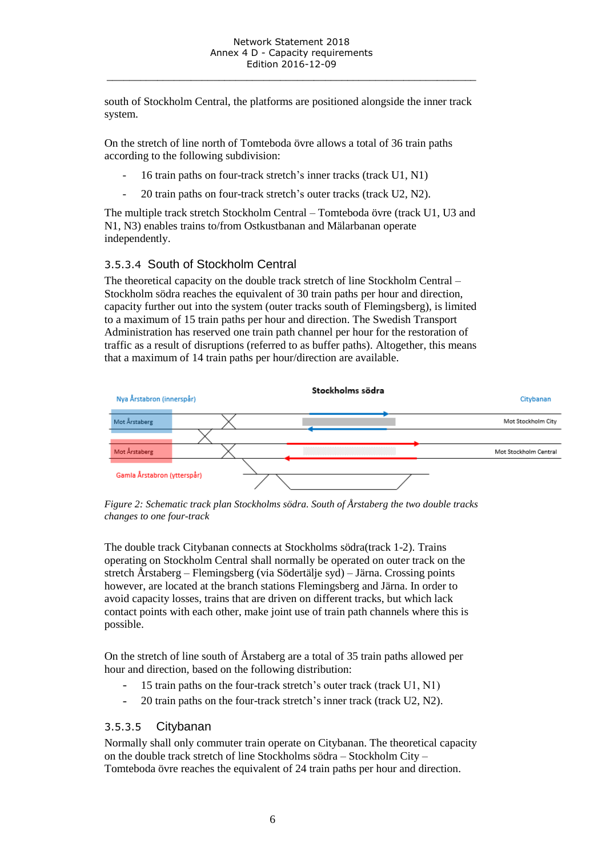south of Stockholm Central, the platforms are positioned alongside the inner track system.

On the stretch of line north of Tomteboda övre allows a total of 36 train paths according to the following subdivision:

- 16 train paths on four-track stretch's inner tracks (track U1, N1)
- 20 train paths on four-track stretch's outer tracks (track U2, N2).

The multiple track stretch Stockholm Central – Tomteboda övre (track U1, U3 and N1, N3) enables trains to/from Ostkustbanan and Mälarbanan operate independently.

### 3.5.3.4 South of Stockholm Central

The theoretical capacity on the double track stretch of line Stockholm Central – Stockholm södra reaches the equivalent of 30 train paths per hour and direction, capacity further out into the system (outer tracks south of Flemingsberg), is limited to a maximum of 15 train paths per hour and direction. The Swedish Transport Administration has reserved one train path channel per hour for the restoration of traffic as a result of disruptions (referred to as buffer paths). Altogether, this means that a maximum of 14 train paths per hour/direction are available.



*Figure 2: Schematic track plan Stockholms södra. South of Årstaberg the two double tracks changes to one four-track*

The double track Citybanan connects at Stockholms södra(track 1-2). Trains operating on Stockholm Central shall normally be operated on outer track on the stretch Årstaberg – Flemingsberg (via Södertälje syd) – Järna. Crossing points however, are located at the branch stations Flemingsberg and Järna. In order to avoid capacity losses, trains that are driven on different tracks, but which lack contact points with each other, make joint use of train path channels where this is possible.

On the stretch of line south of Årstaberg are a total of 35 train paths allowed per hour and direction*,* based on the following distribution:

- 15 train paths on the four-track stretch's outer track (track U1, N1)
- 20 train paths on the four-track stretch's inner track (track U2, N2).

#### 3.5.3.5 Citybanan

Normally shall only commuter train operate on Citybanan. The theoretical capacity on the double track stretch of line Stockholms södra – Stockholm City – Tomteboda övre reaches the equivalent of 24 train paths per hour and direction.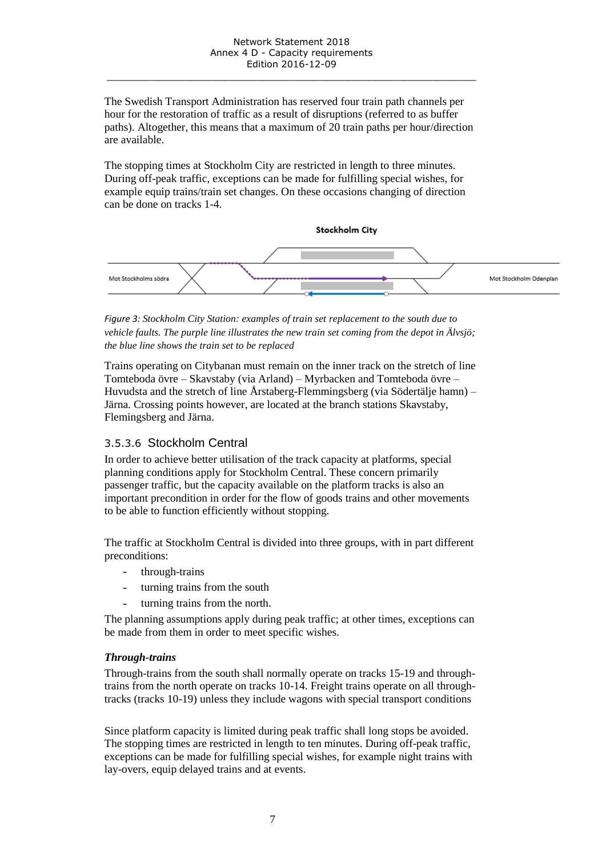The Swedish Transport Administration has reserved four train path channels per hour for the restoration of traffic as a result of disruptions (referred to as buffer paths). Altogether, this means that a maximum of 20 train paths per hour/direction are available.

The stopping times at Stockholm City are restricted in length to three minutes. During off-peak traffic, exceptions can be made for fulfilling special wishes, for example equip trains/train set changes. On these occasions changing of direction can be done on tracks 1-4.



*Figure 3: Stockholm City Station: examples of train set replacement to the south due to vehicle faults. The purple line illustrates the new train set coming from the depot in Älvsjö; the blue line shows the train set to be replaced*

Trains operating on Citybanan must remain on the inner track on the stretch of line Tomteboda övre – Skavstaby (via Arland) – Myrbacken and Tomteboda övre – Huvudsta and the stretch of line Årstaberg-Flemmingsberg (via Södertälje hamn) – Järna. Crossing points however, are located at the branch stations Skavstaby, Flemingsberg and Järna.

### 3.5.3.6 Stockholm Central

In order to achieve better utilisation of the track capacity at platforms, special planning conditions apply for Stockholm Central. These concern primarily passenger traffic, but the capacity available on the platform tracks is also an important precondition in order for the flow of goods trains and other movements to be able to function efficiently without stopping.

The traffic at Stockholm Central is divided into three groups, with in part different preconditions:

- through-trains
- turning trains from the south
- turning trains from the north.

The planning assumptions apply during peak traffic; at other times, exceptions can be made from them in order to meet specific wishes.

#### *Through-trains*

Through-trains from the south shall normally operate on tracks 15-19 and throughtrains from the north operate on tracks 10-14. Freight trains operate on all throughtracks (tracks 10-19) unless they include wagons with special transport conditions

Since platform capacity is limited during peak traffic shall long stops be avoided. The stopping times are restricted in length to ten minutes. During off-peak traffic, exceptions can be made for fulfilling special wishes, for example night trains with lay-overs, equip delayed trains and at events.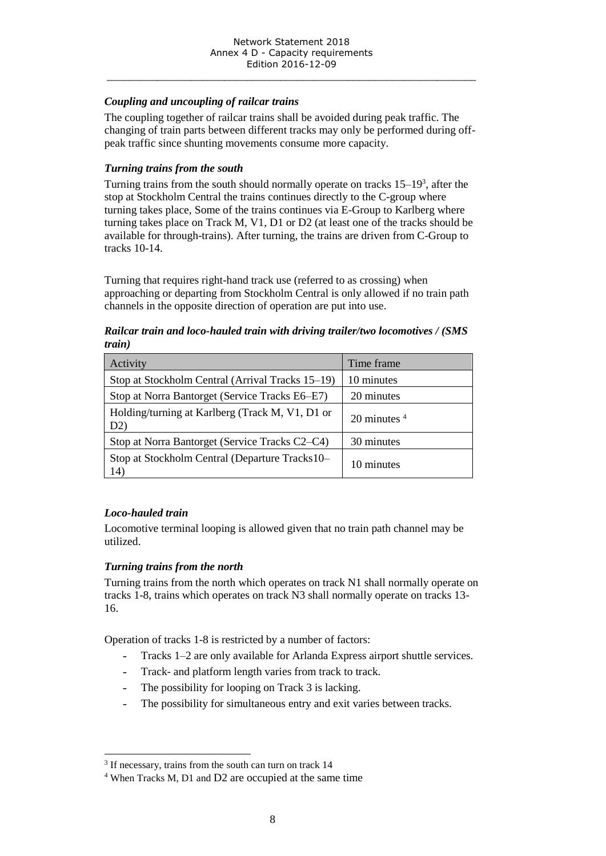#### *Coupling and uncoupling of railcar trains*

The coupling together of railcar trains shall be avoided during peak traffic. The changing of train parts between different tracks may only be performed during offpeak traffic since shunting movements consume more capacity.

#### *Turning trains from the south*

Turning trains from the south should normally operate on tracks  $15-19<sup>3</sup>$ , after the stop at Stockholm Central the trains continues directly to the C-group where turning takes place, Some of the trains continues via E-Group to Karlberg where turning takes place on Track M, V1, D1 or D2 (at least one of the tracks should be available for through-trains). After turning, the trains are driven from C-Group to tracks 10-14.

Turning that requires right-hand track use (referred to as crossing) when approaching or departing from Stockholm Central is only allowed if no train path channels in the opposite direction of operation are put into use.

#### *Railcar train and loco-hauled train with driving trailer/two locomotives / (SMS train)*

| Activity                                               | Time frame                 |
|--------------------------------------------------------|----------------------------|
| Stop at Stockholm Central (Arrival Tracks 15–19)       | 10 minutes                 |
| Stop at Norra Bantorget (Service Tracks E6–E7)         | 20 minutes                 |
| Holding/turning at Karlberg (Track M, V1, D1 or<br>D2) | 20 minutes $4\overline{ }$ |
| Stop at Norra Bantorget (Service Tracks C2–C4)         | 30 minutes                 |
| Stop at Stockholm Central (Departure Tracks10–<br>14)  | 10 minutes                 |

#### *Loco-hauled train*

Locomotive terminal looping is allowed given that no train path channel may be utilized.

#### *Turning trains from the north*

Turning trains from the north which operates on track N1 shall normally operate on tracks 1-8, trains which operates on track N3 shall normally operate on tracks 13- 16.

Operation of tracks 1-8 is restricted by a number of factors:

- Tracks 1–2 are only available for Arlanda Express airport shuttle services.
- Track- and platform length varies from track to track.
- The possibility for looping on Track 3 is lacking.
- The possibility for simultaneous entry and exit varies between tracks.

 $\overline{a}$ <sup>3</sup> If necessary, trains from the south can turn on track 14

<sup>4</sup> When Tracks M, D1 and D2 are occupied at the same time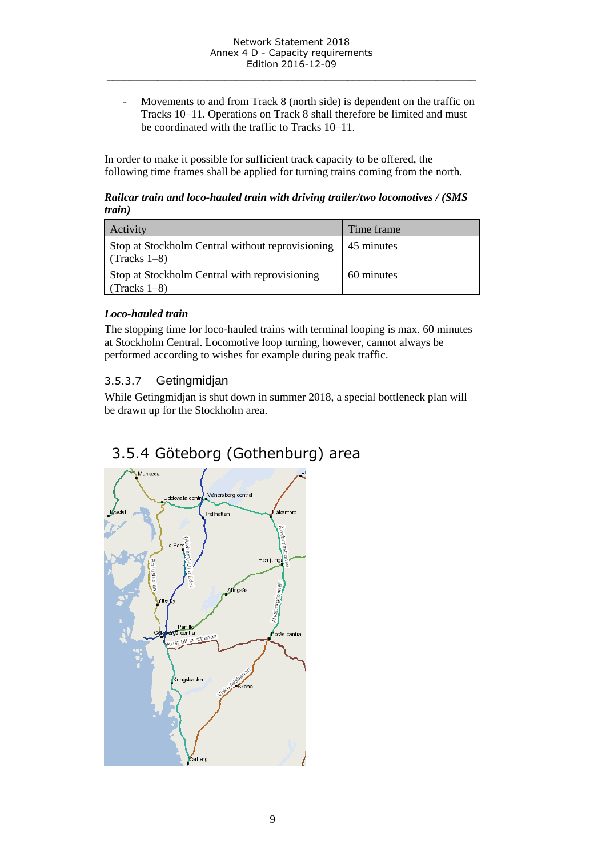<span id="page-8-0"></span>- Movements to and from Track 8 (north side) is dependent on the traffic on Tracks 10–11. Operations on Track 8 shall therefore be limited and must be coordinated with the traffic to Tracks 10–11.

In order to make it possible for sufficient track capacity to be offered, the following time frames shall be applied for turning trains coming from the north.

#### *Railcar train and loco-hauled train with driving trailer/two locomotives / (SMS train)*

| Activity                                                           | Time frame |
|--------------------------------------------------------------------|------------|
| Stop at Stockholm Central without reprovisioning<br>$(Tracks 1-8)$ | 45 minutes |
| Stop at Stockholm Central with reprovisioning<br>$(Tracks 1-8)$    | 60 minutes |

### *Loco-hauled train*

The stopping time for loco-hauled trains with terminal looping is max. 60 minutes at Stockholm Central. Locomotive loop turning, however, cannot always be performed according to wishes for example during peak traffic.

## 3.5.3.7 Getingmidjan

While Getingmidjan is shut down in summer 2018, a special bottleneck plan will be drawn up for the Stockholm area.

# 3.5.4 Göteborg (Gothenburg) area

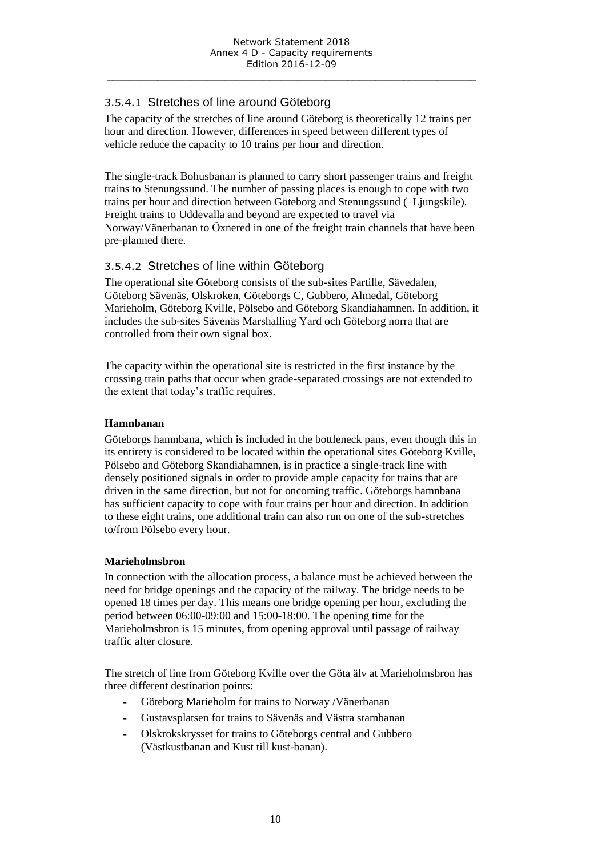### 3.5.4.1 Stretches of line around Göteborg

The capacity of the stretches of line around Göteborg is theoretically 12 trains per hour and direction. However, differences in speed between different types of vehicle reduce the capacity to 10 trains per hour and direction.

The single-track Bohusbanan is planned to carry short passenger trains and freight trains to Stenungssund. The number of passing places is enough to cope with two trains per hour and direction between Göteborg and Stenungssund (–Ljungskile). Freight trains to Uddevalla and beyond are expected to travel via Norway/Vänerbanan to Öxnered in one of the freight train channels that have been pre-planned there.

### 3.5.4.2 Stretches of line within Göteborg

The operational site Göteborg consists of the sub-sites Partille, Sävedalen, Göteborg Sävenäs, Olskroken, Göteborgs C, Gubbero, Almedal, Göteborg Marieholm, Göteborg Kville, Pölsebo and Göteborg Skandiahamnen. In addition, it includes the sub-sites Sävenäs Marshalling Yard och Göteborg norra that are controlled from their own signal box.

The capacity within the operational site is restricted in the first instance by the crossing train paths that occur when grade-separated crossings are not extended to the extent that today's traffic requires.

#### **Hamnbanan**

Göteborgs hamnbana, which is included in the bottleneck pans, even though this in its entirety is considered to be located within the operational sites Göteborg Kville, Pölsebo and Göteborg Skandiahamnen, is in practice a single-track line with densely positioned signals in order to provide ample capacity for trains that are driven in the same direction, but not for oncoming traffic. Göteborgs hamnbana has sufficient capacity to cope with four trains per hour and direction. In addition to these eight trains, one additional train can also run on one of the sub-stretches to/from Pölsebo every hour.

#### **Marieholmsbron**

In connection with the allocation process, a balance must be achieved between the need for bridge openings and the capacity of the railway. The bridge needs to be opened 18 times per day. This means one bridge opening per hour, excluding the period between 06:00-09:00 and 15:00-18:00. The opening time for the Marieholmsbron is 15 minutes, from opening approval until passage of railway traffic after closure.

The stretch of line from Göteborg Kville over the Göta älv at Marieholmsbron has three different destination points:

- Göteborg Marieholm for trains to Norway /Vänerbanan
- Gustavsplatsen for trains to Sävenäs and Västra stambanan
- Olskrokskrysset for trains to Göteborgs central and Gubbero (Västkustbanan and Kust till kust-banan).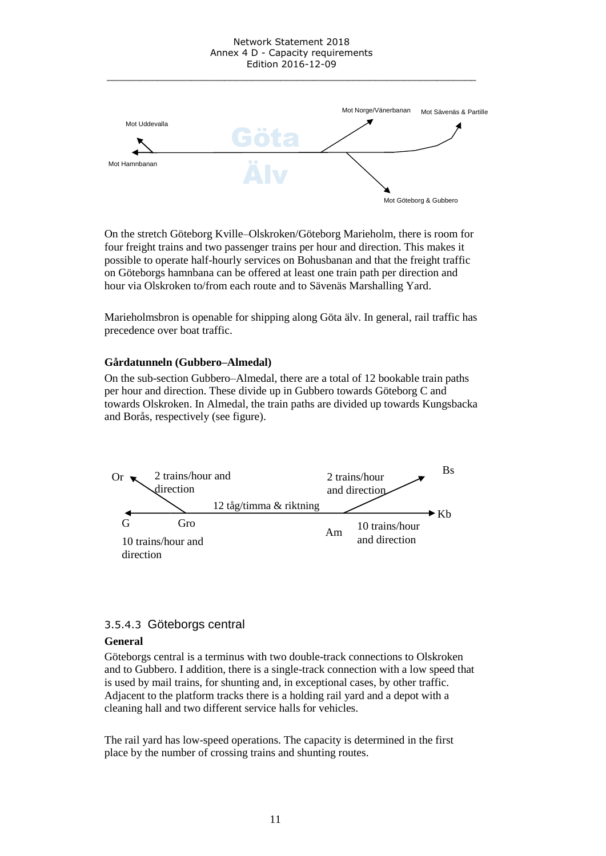#### Network Statement 2018 Annex 4 D - Capacity requirements Edition 2016-12-09

\_\_\_\_\_\_\_\_\_\_\_\_\_\_\_\_\_\_\_\_\_\_\_\_\_\_\_\_\_\_\_\_\_\_\_\_\_\_\_\_\_\_\_\_\_\_\_\_\_\_\_\_\_\_\_\_\_\_\_\_\_\_\_\_\_\_



On the stretch Göteborg Kville–Olskroken/Göteborg Marieholm, there is room for four freight trains and two passenger trains per hour and direction. This makes it possible to operate half-hourly services on Bohusbanan and that the freight traffic on Göteborgs hamnbana can be offered at least one train path per direction and hour via Olskroken to/from each route and to Sävenäs Marshalling Yard.

Marieholmsbron is openable for shipping along Göta älv. In general, rail traffic has precedence over boat traffic.

#### **Gårdatunneln (Gubbero–Almedal)**

On the sub-section Gubbero–Almedal, there are a total of 12 bookable train paths per hour and direction. These divide up in Gubbero towards Göteborg C and towards Olskroken. In Almedal, the train paths are divided up towards Kungsbacka and Borås, respectively (see figure).



#### 3.5.4.3 Göteborgs central

#### **General**

Göteborgs central is a terminus with two double-track connections to Olskroken and to Gubbero. I addition, there is a single-track connection with a low speed that is used by mail trains, for shunting and, in exceptional cases, by other traffic. Adjacent to the platform tracks there is a holding rail yard and a depot with a cleaning hall and two different service halls for vehicles.

The rail yard has low-speed operations. The capacity is determined in the first place by the number of crossing trains and shunting routes.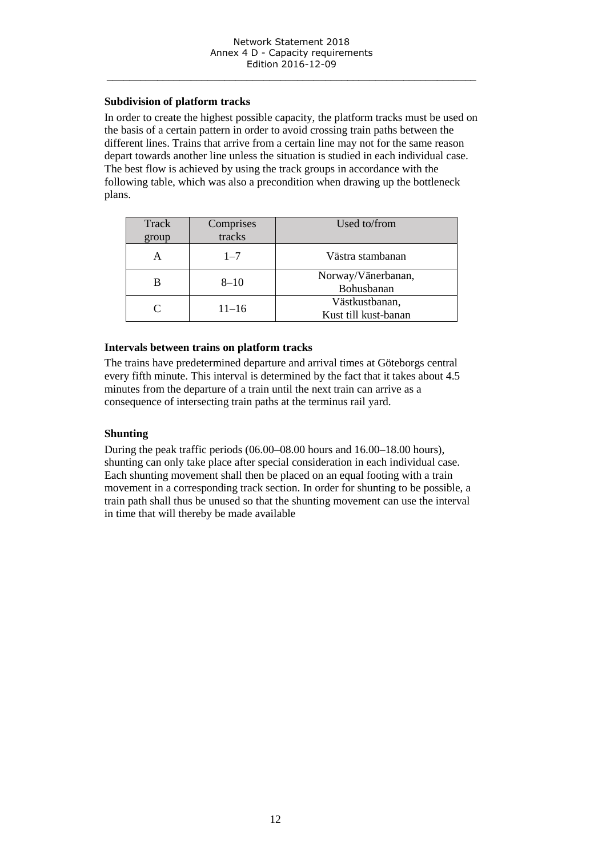#### **Subdivision of platform tracks**

In order to create the highest possible capacity, the platform tracks must be used on the basis of a certain pattern in order to avoid crossing train paths between the different lines. Trains that arrive from a certain line may not for the same reason depart towards another line unless the situation is studied in each individual case. The best flow is achieved by using the track groups in accordance with the following table, which was also a precondition when drawing up the bottleneck plans.

| Track<br>group | Comprises<br>tracks | Used to/from                           |
|----------------|---------------------|----------------------------------------|
| А              | $1 - 7$             | Västra stambanan                       |
|                | $8 - 10$            | Norway/Vänerbanan,<br>Bohusbanan       |
| $\subset$      | $11 - 16$           | Västkustbanan,<br>Kust till kust-banan |

#### **Intervals between trains on platform tracks**

The trains have predetermined departure and arrival times at Göteborgs central every fifth minute. This interval is determined by the fact that it takes about 4.5 minutes from the departure of a train until the next train can arrive as a consequence of intersecting train paths at the terminus rail yard.

#### **Shunting**

During the peak traffic periods (06.00–08.00 hours and 16.00–18.00 hours), shunting can only take place after special consideration in each individual case. Each shunting movement shall then be placed on an equal footing with a train movement in a corresponding track section. In order for shunting to be possible, a train path shall thus be unused so that the shunting movement can use the interval in time that will thereby be made available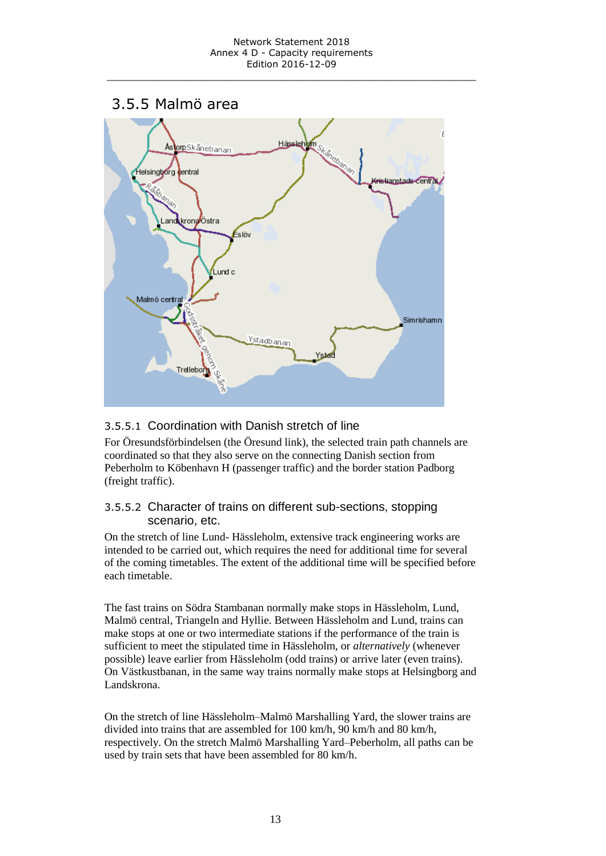## <span id="page-12-0"></span>3.5.5 Malmö area



## 3.5.5.1 Coordination with Danish stretch of line

For Öresundsförbindelsen (the Öresund link), the selected train path channels are coordinated so that they also serve on the connecting Danish section from Peberholm to Köbenhavn H (passenger traffic) and the border station Padborg (freight traffic).

### 3.5.5.2 Character of trains on different sub-sections, stopping scenario, etc.

On the stretch of line Lund- Hässleholm, extensive track engineering works are intended to be carried out, which requires the need for additional time for several of the coming timetables. The extent of the additional time will be specified before each timetable.

The fast trains on Södra Stambanan normally make stops in Hässleholm, Lund, Malmö central, Triangeln and Hyllie. Between Hässleholm and Lund, trains can make stops at one or two intermediate stations if the performance of the train is sufficient to meet the stipulated time in Hässleholm, or *alternatively* (whenever possible) leave earlier from Hässleholm (odd trains) or arrive later (even trains). On Västkustbanan, in the same way trains normally make stops at Helsingborg and Landskrona.

On the stretch of line Hässleholm–Malmö Marshalling Yard, the slower trains are divided into trains that are assembled for 100 km/h, 90 km/h and 80 km/h, respectively. On the stretch Malmö Marshalling Yard–Peberholm, all paths can be used by train sets that have been assembled for 80 km/h.